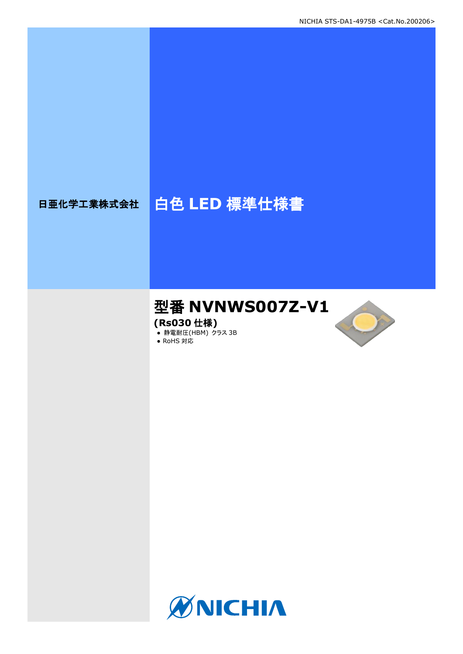# 日亜化学工業株式会社 | 白色 LED 標準仕様書

# 型番 **NVNWS007Z-V1**

**(Rs030** 仕様**)**

**● 静電耐圧(HBM) クラス 3B** ● RoHS 対応



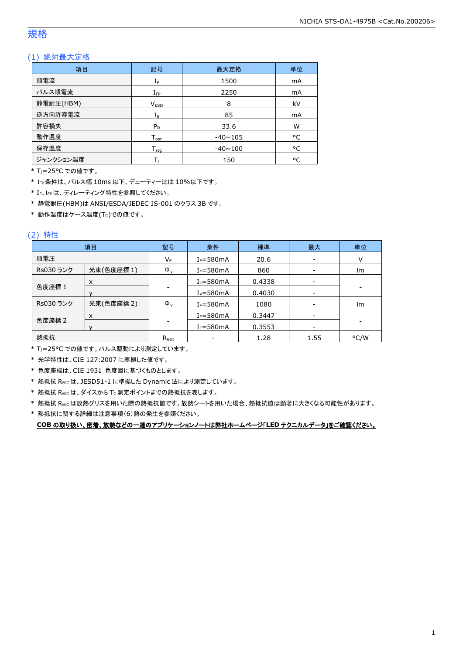### 規格

#### (1) 絶対最大定格

| 項目        | 記号                  | 最大定格           | 単位 |
|-----------|---------------------|----------------|----|
| 順電流       | ${\rm I}_{{\rm F}}$ | 1500           | mA |
| パルス順電流    | $I_{\text{FP}}$     | 2250           | mA |
| 静電耐圧(HBM) | <b>VESD</b>         | 8              | kV |
| 逆方向許容電流   | $I_R$               | 85             | mA |
| 許容損失      | $P_D$               | 33.6           | W  |
| 動作温度      | $T_{\text{opr}}$    | $-40 \sim 105$ | °C |
| 保存温度      | $T_{\rm stq}$       | $-40 \sim 100$ | °C |
| ジャンクション温度 |                     | 150            | °C |

\* TJ=25°C での値です。

\* IFP条件は、パルス幅 10ms 以下、デューティー比は 10%以下です。

\* IF、IFPは、ディレーティング特性を参照してください。

\* 静電耐圧(HBM)は ANSI/ESDA/JEDEC JS-001 のクラス 3B です。

 $*$ 動作温度はケース温度(Tc)での値です。

#### (2) 特性

|           | 項目         | 記号             | 条件            | 標準     | 最大                       | 単位                       |
|-----------|------------|----------------|---------------|--------|--------------------------|--------------------------|
| 順電圧       |            | VF             | $I_F = 580mA$ | 20.6   | $\overline{\phantom{a}}$ |                          |
| Rs030 ランク | 光束(色度座標1)  | $\Phi_{\rm v}$ | $I_F = 580mA$ | 860    |                          | Im                       |
|           | X          |                | $I_F = 580mA$ | 0.4338 | -                        |                          |
| 色度座標 1    |            |                | $I_F = 580mA$ | 0.4030 | -                        | $\overline{\phantom{a}}$ |
| Rs030 ランク | 光束(色度座標 2) | $\Phi_{\rm v}$ | $I_F = 580mA$ | 1080   | $\overline{\phantom{a}}$ | Im                       |
|           | X          |                | $I_F = 580mA$ | 0.3447 | $\qquad \qquad$          |                          |
| 色度座標 2    |            |                | $I_F = 580mA$ | 0.3553 |                          |                          |
| 熱抵抗       |            | $R_{\theta$ JC |               | 1.28   | 1.55                     | °C/W                     |

\* TJ=25°C での値です。パルス駆動により測定しています。

\* 光学特性は、CIE 127:2007 に準拠した値です。

\* 色度座標は、CIE 1931 色度図に基づくものとします。

\* 熱抵抗 RθJCは、JESD51-1 に準拠した Dynamic 法により測定しています。

 $*$  熱抵抗  $R_{\theta JC}$ は、ダイスから Tc 測定ポイントまでの熱抵抗を表します。

\* 熱抵抗 RθJCは放熱グリスを用いた際の熱抵抗値です。放熱シートを用いた場合、熱抵抗値は顕著に大きくなる可能性があります。

\* 熱抵抗に関する詳細は注意事項(6)熱の発生を参照ください。

**COB** の取り扱い、密着、放熱などの一連のアプリケーションノートは弊社ホームページ「**LED** テクニカルデータ」をご確認ください。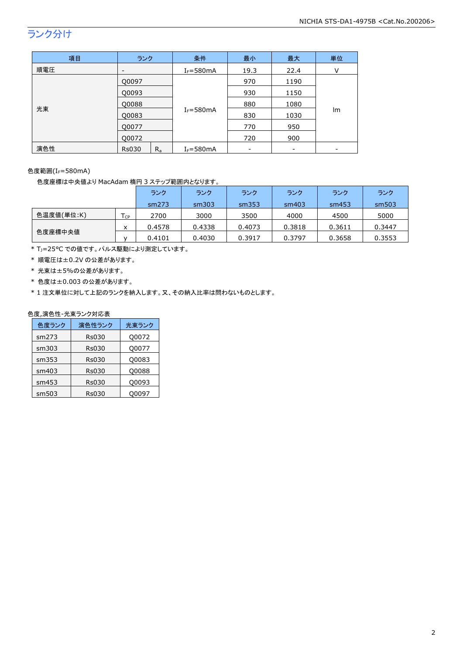## ランク分け

| 項目  | ランク                      |         | 条件            | 最小   | 最大   | 単位 |
|-----|--------------------------|---------|---------------|------|------|----|
| 順電圧 | $\overline{\phantom{a}}$ |         | $I_F = 580mA$ | 19.3 | 22.4 | v  |
| 光束  | Q0097                    |         |               | 970  | 1190 |    |
|     | Q0093                    |         |               | 930  | 1150 |    |
|     | Q0088                    |         |               | 880  | 1080 |    |
|     | Q0083                    |         | $I_F = 580mA$ | 830  | 1030 | Im |
|     | Q0077                    |         |               | 770  | 950  |    |
|     | Q0072                    |         |               | 720  | 900  |    |
| 演色性 | <b>Rs030</b>             | $R_{a}$ | $I_F = 580mA$ |      |      |    |

色度範囲(IF=580mA)

色度座標は中央値より MacAdam 楕円 3 ステップ範囲内となります。

|            |      | ランク    | ランク    | ランク    | ランク    | ランク    | ランク    |
|------------|------|--------|--------|--------|--------|--------|--------|
|            |      | sm273  | sm303  | sm353  | sm403  | sm453  | sm503  |
| 色温度値(単位:K) | l cp | 2700   | 3000   | 3500   | 4000   | 4500   | 5000   |
|            | x    | 0.4578 | 0.4338 | 0.4073 | 0.3818 | 0.3611 | 0.3447 |
| 色度座標中央値    |      | 0.4101 | 0.4030 | 0.3917 | 0.3797 | 0.3658 | 0.3553 |

\* TJ=25°C での値です。パルス駆動により測定しています。

\* 順電圧は±0.2V の公差があります。

- \* 光束は±5%の公差があります。
- \* 色度は±0.003 の公差があります。

\* 1 注文単位に対して上記のランクを納入します。又、その納入比率は問わないものとします。

#### 色度,演色性-光束ランク対応表

| 色度ランク | 演色性ランク       | 光束ランク |
|-------|--------------|-------|
| sm273 | <b>Rs030</b> | Q0072 |
| sm303 | <b>Rs030</b> | Q0077 |
| sm353 | <b>Rs030</b> | Q0083 |
| sm403 | <b>Rs030</b> | O0088 |
| sm453 | <b>Rs030</b> | Q0093 |
| sm503 | Rs030        | 00097 |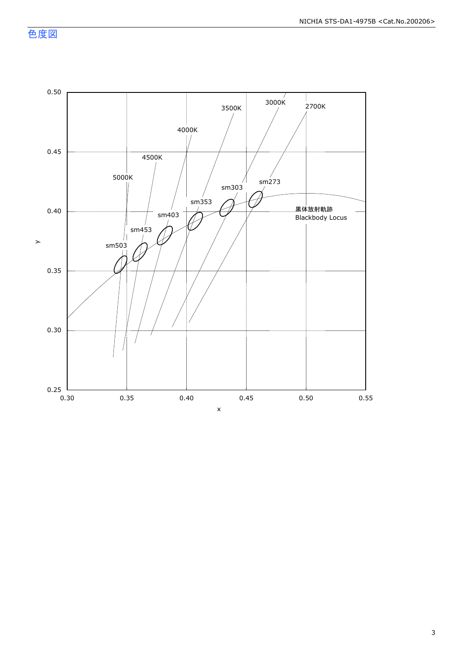色度図

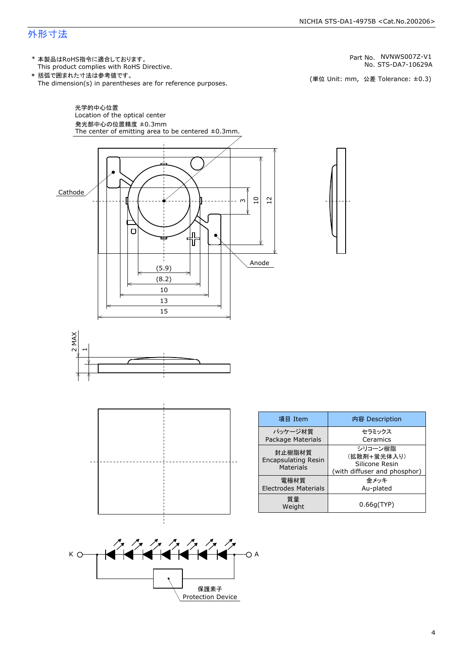### 外形寸法

(単位 Unit: mm) This product complies with RoHS Directive. \* 本製品はRoHS指令に適合しております。 (単位 Unit: mm, 公差 Tolerance: ±0.3) STS-DA7-10629A NVNWS007Z-V1 The dimension(s) in parentheses are for reference purposes. \* 括弧で囲まれた寸法は参考値です。 No. Part No.





| 項目 Item                                                  | 内容 Description                                                           |  |  |
|----------------------------------------------------------|--------------------------------------------------------------------------|--|--|
| パッケージ材質<br><b>Package Materials</b>                      | セラミックス<br>Ceramics                                                       |  |  |
| 封止樹脂材質<br><b>Encapsulating Resin</b><br><b>Materials</b> | シリコーン樹脂<br>(拡散剤+蛍光体入り)<br>Silicone Resin<br>(with diffuser and phosphor) |  |  |
| 雷極材質<br><b>Electrodes Materials</b>                      | 金メッキ<br>Au-plated                                                        |  |  |
| 質量<br>Weight                                             | 0.66q(TYP)                                                               |  |  |

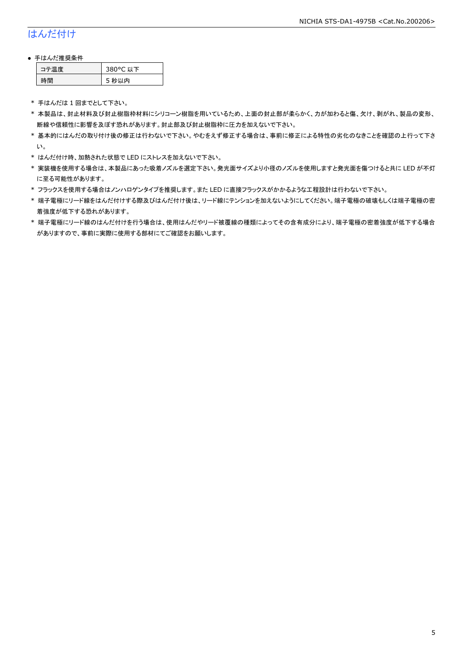### はんだ付け

#### ● 手はんだ推奨条件

| →"烏庫」 | 380°C 以下 |
|-------|----------|
| .間    | 5 秒以内    |

\* 手はんだは 1 回までとして下さい。

- \* 本製品は、封止材料及び封止樹脂枠材料にシリコーン樹脂を用いているため、上面の封止部が柔らかく、力が加わると傷、欠け、剥がれ、製品の変形、 断線や信頼性に影響を及ぼす恐れがあります。封止部及び封止樹脂枠に圧力を加えないで下さい。
- \* 基本的にはんだの取り付け後の修正は行わないで下さい。やむをえず修正する場合は、事前に修正による特性の劣化のなきことを確認の上行って下さ い。
- \* はんだ付け時、加熱された状態で LED にストレスを加えないで下さい。
- \* 実装機を使用する場合は、本製品にあった吸着ノズルを選定下さい。発光面サイズより小径のノズルを使用しますと発光面を傷つけると共に LED が不灯 に至る可能性があります。
- \* フラックスを使用する場合はノンハロゲンタイプを推奨します。また LED に直接フラックスがかかるような工程設計は行わないで下さい。
- \* 端子電極にリード線をはんだ付けする際及びはんだ付け後は、リード線にテンションを加えないようにしてください。端子電極の破壊もしくは端子電極の密 着強度が低下する恐れがあります。
- \* 端子電極にリード線のはんだ付けを行う場合は、使用はんだやリード被覆線の種類によってその含有成分により、端子電極の密着強度が低下する場合 がありますので、事前に実際に使用する部材にてご確認をお願いします。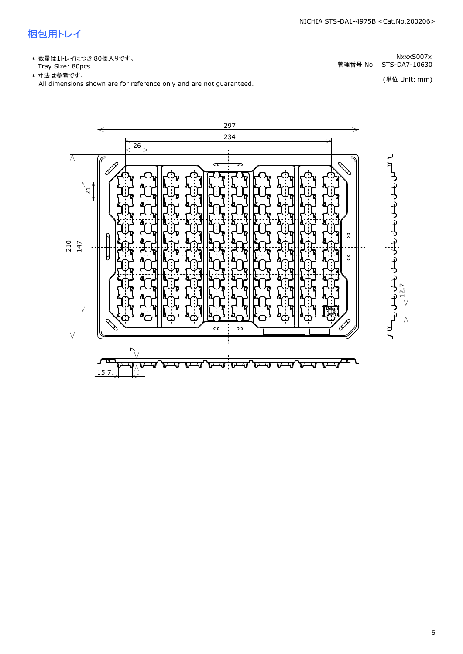### 梱包用トレイ

\* 数量は1トレイにつき 80個入りです。<br>Tray Size: 80pcs

\* 数量は1トレイにつき 80個入りです。<br>Tray Size: 80pcs<br>\* 寸法は参考です。<br>All dimensions shown are for reference only and are not guaranteed. \* づ法は参考です。 (単位 Unit: mm)

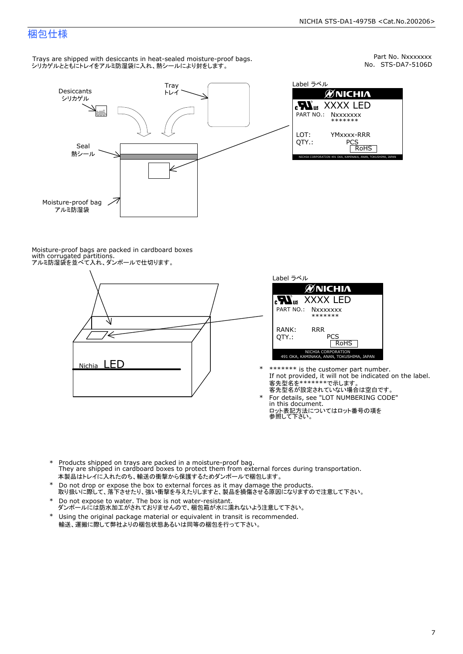Part No. Nxxxxxxx<br>No. STS-DA7-5106D

### 梱包仕様

Trays are shipped with desiccants in heat-sealed moisture-proof bags. シリカゲルとともにトレイをアルミ防湿袋に入れ、熱シールにより封をします。



Label ラベル  $\mathscr{U}$ NICHIA  $\begin{array}{lll} \text{cN}_{\text{us}} & \text{XXXX} & \text{LED} \\ \text{part no.:} & \text{Nxxxxxxx} \\ \text{LOT:} & \text{YMxxxx-RRR} \\ \text{QTY.:} & & \text{PCS} \\ \hline & \text{ROHS} \end{array}$ NICHIA CORPORATION <sup>491</sup> OKA, KAMINAKA, ANAN, TOKUSHIMA, JAPAN LOT: QTY.: YMxxxx-RRR PCS PART NO.:

Moisture-proof bags are packed in cardboard boxes with corrugated partitions. アルミ防湿袋を並べて入れ、ダンボールで仕切ります。





- \* \*\*\*\*\*\*\* is the customer part number.<br>If not provided, it will not be indicated on the label.<br>客先型名が設定されていない場合は空白です。
- For details, see "LOT NUMBERING CODE"<br>in this document.<br>ロット表記方法についてはロット番号の項を<br>参照して下さい。
- \* Products shipped on trays are packed in a moisture-proof bag.<br>They are shipped in cardboard boxes to protect them from external forces during transportation.<br>本製品はトレイに入れたのち、輸送の衝撃から保護するためダンボールで梱包します。<br>\* Do not drop or exp 本製品はトレイに入れたのち、輸送の衝撃から保護するためダンボールで梱包します。
- Do not drop or expose the box to external forces as it may damage the products. \*
- 取り扱いに際して、落下させたり、強い衝撃を与えたりしますと、製品を損傷させる原因になりますので注意して下さい。 Do not expose to water. The box is not water-resistant. \*
- ダンボールには防水加工がされておりませんので、梱包箱が水に濡れないよう注意して下さい。 \*
- 輸送、運搬に際して弊社よりの梱包状態あるいは同等の梱包を行って下さい。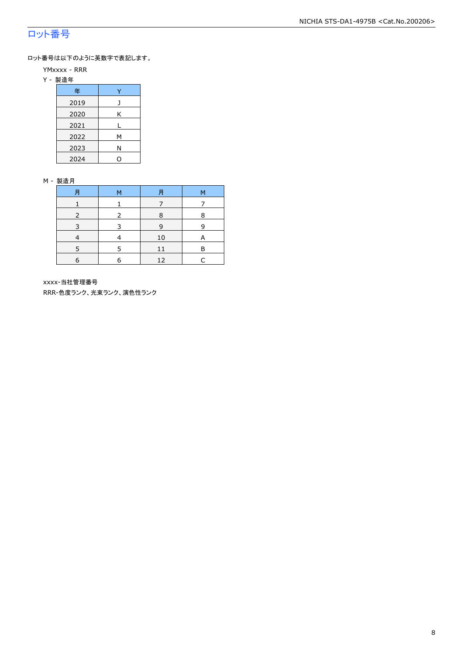### ロット番号

ロット番号は以下のように英数字で表記します。

- YMxxxx RRR
- Y 製造年

| 年    |   |  |  |  |
|------|---|--|--|--|
| 2019 | J |  |  |  |
| 2020 | Κ |  |  |  |
| 2021 |   |  |  |  |
| 2022 | М |  |  |  |
| 2023 | Ν |  |  |  |
| 2024 |   |  |  |  |

#### M - 製造月

| 月 | м | 月  | М |
|---|---|----|---|
|   |   |    |   |
|   |   | 8  | 8 |
| 3 | 3 | 9  | q |
|   |   | 10 |   |
|   |   | 11 | P |
| 6 | 6 | 12 |   |

xxxx-当社管理番号

RRR-色度ランク、光束ランク、演色性ランク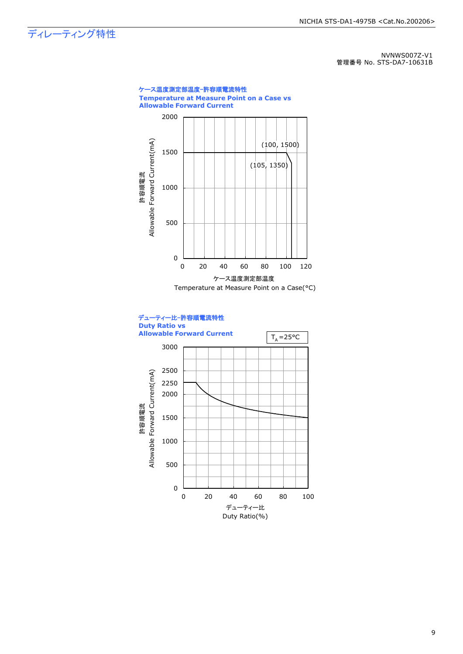### ディレーティング特性

NVNWS007Z-V1 管理番号 No. STS-DA7-10631B

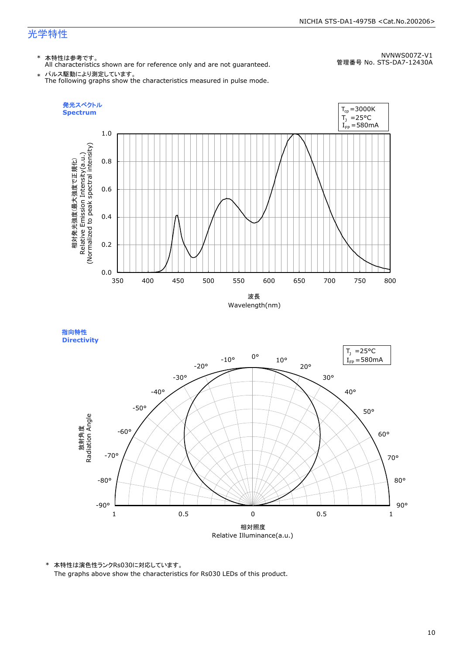### 光学特性

#### \* 本特性は参考です。

All characteristics shown are for reference only and are not guaranteed.

NVNWS007Z-V1 管理番号 No. STS-DA7-12430A

 $\;\ast\;$  パルス駆動により測定しています。<br>The following graphs show the characteristics measured in pulse mode.



指向特性 **Directivity** 



\* 本特性は演色性ランクRs030に対応しています。 The graphs above show the characteristics for Rs030 LEDs of this product.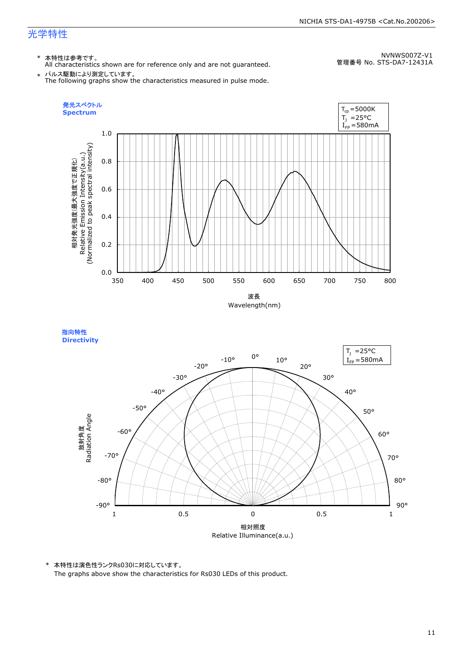#### NICHIA STS-DA1-4975B <Cat.No.200206>

### 光学特性

### \* 本特性は参考です。

All characteristics shown are for reference only and are not guaranteed.

NVNWS007Z-V1 管理番号 No. STS-DA7-12431A

 $\;\ast\;$  パルス駆動により測定しています。<br>The following graphs show the characteristics measured in pulse mode.



指向特性 **Directivity** 



\* 本特性は演色性ランクRs030に対応しています。 The graphs above show the characteristics for Rs030 LEDs of this product.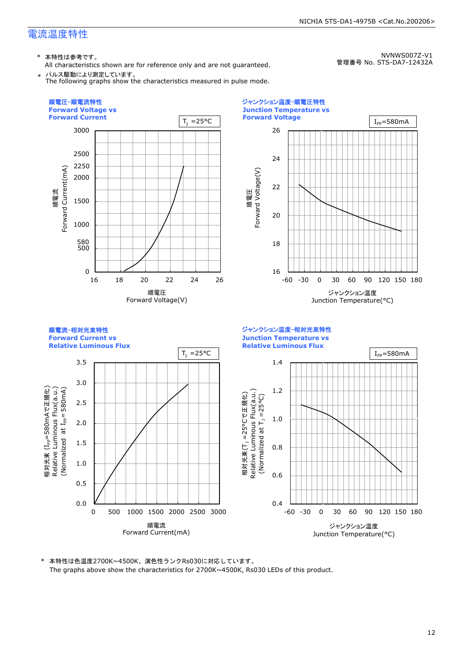\* 本特性は参考です。

All characteristics shown are for reference only and are not guaranteed. \* パルス駆動により測定しています。

The following graphs show the characteristics measured in pulse mode.

NVNWS007Z-V1

NICHIA STS-DA1-4975B <Cat.No.200206>

管理番号 No. STS-DA7-12432A



\* 本特性は色温度2700K~4500K、演色性ランクRs030に対応しています。 The graphs above show the characteristics for 2700K~4500K, Rs030 LEDs of this product.

#### 12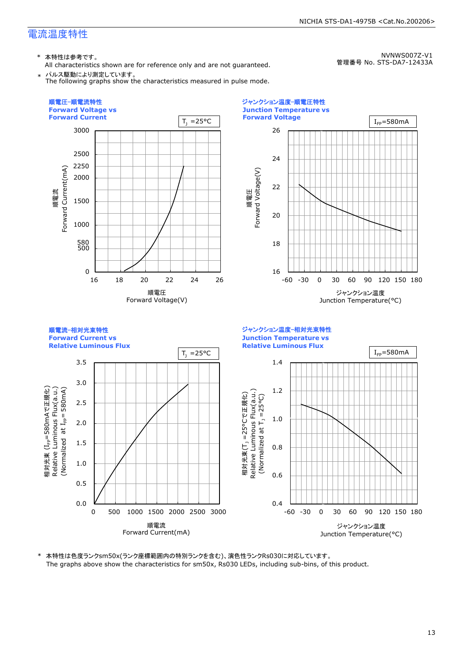\* 本特性は参考です。

All characteristics shown are for reference only and are not guaranteed. \* パルス駆動により測定しています。

The following graphs show the characteristics measured in pulse mode.

NVNWS007Z-V1 管理番号 No. STS-DA7-12433A

NICHIA STS-DA1-4975B <Cat.No.200206>



\* 本特性は色度ランクsm50x(ランク座標範囲内の特別ランクを含む)、演色性ランクRs030に対応しています。 The graphs above show the characteristics for sm50x, Rs030 LEDs, including sub-bins, of this product.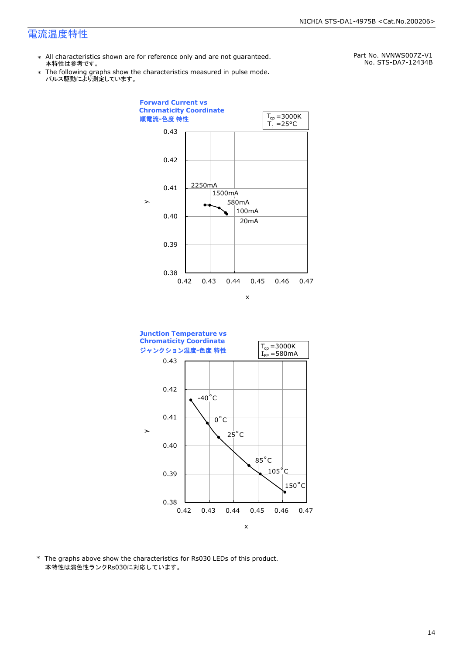- \* All characteristics shown are for reference only and are not guaranteed. 本特性は参考です。
- \* Ine following graphs show th<br>、パルス駆動により測定しています。 The following graphs show the characteristics measured in pulse mode.

Part No. NVNWS007Z-V1 No. STS-DA7-12434B





\* The graphs above show the characteristics for Rs030 LEDs of this product. 本特性は演色性ランクRs030に対応しています。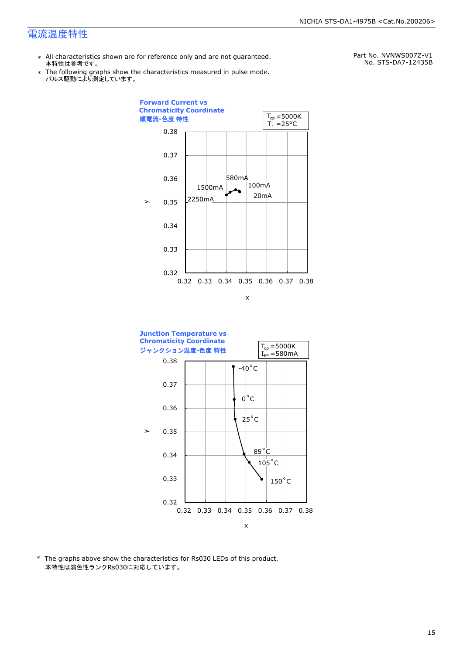- \* All characteristics shown are for reference only and are not guaranteed. 本特性は参考です。
- \* Ine following graphs show th<br>、パルス駆動により測定しています。 The following graphs show the characteristics measured in pulse mode.

Part No. NVNWS007Z-V1 No. STS-DA7-12435B





\* The graphs above show the characteristics for Rs030 LEDs of this product. 本特性は演色性ランクRs030に対応しています。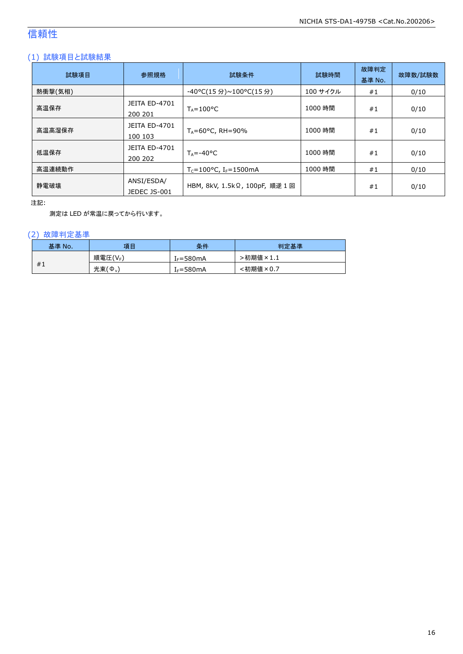### 信頼性

#### (1) 試験項目と試験結果

| 試験項目    | 参照規格                            | 試験条件                                          | 試験時間     | 故障判定<br>基準 No. | 故障数/試験数 |
|---------|---------------------------------|-----------------------------------------------|----------|----------------|---------|
| 熱衝撃(気相) |                                 | -40°C(15 分)~100°C(15 分)                       | 100 サイクル | #1             | 0/10    |
| 高温保存    | <b>JEITA ED-4701</b><br>200 201 | $T_A = 100^{\circ}C$                          | 1000 時間  | #1             | 0/10    |
| 高温高湿保存  | <b>JEITA ED-4701</b><br>100 103 | $T_A = 60^{\circ}$ C, RH = 90%                | 1000 時間  | #1             | 0/10    |
| 低温保存    | JEITA ED-4701<br>200 202        | $T_{\text{A}} = -40^{\circ}C$                 | 1000 時間  | #1             | 0/10    |
| 高温連続動作  |                                 | $T_c = 100^{\circ}$ C, I <sub>F</sub> =1500mA | 1000 時間  | #1             | 0/10    |
| 静電破壊    | ANSI/ESDA/<br>JEDEC JS-001      | HBM, 8kV, 1.5kΩ, 100pF, 順逆 1回                 |          | #1             | 0/10    |

注記:

測定は LED が常温に戻ってから行います。

#### (2) 故障判定基準

| 基準 No. | 項目      | 条件                    | 判定基準     |
|--------|---------|-----------------------|----------|
|        | 順電圧(VF) | [ <sub>F</sub> =580mA | ·初期値×1.1 |
| #1     | 光束(Ф.)  | $I_F = 580mA$         | :初期値×0.7 |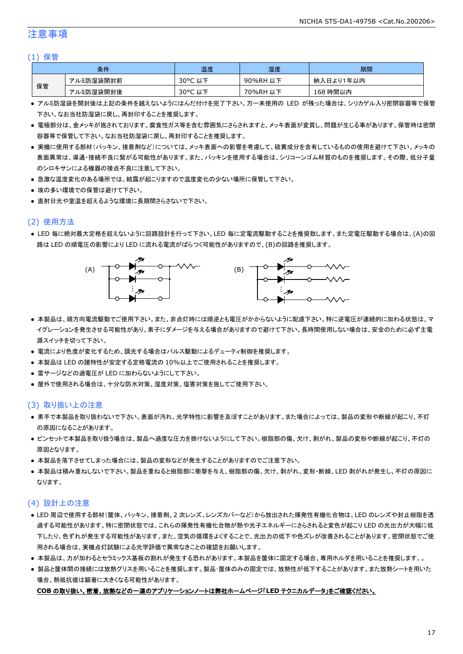#### 注意事項

#### (1) 保管

|    | 条件        | 温度         | 湿度       | 期間        |
|----|-----------|------------|----------|-----------|
|    | アルミ防湿袋開封前 | 30°C<br>以下 | 90%RH 以下 | 納入日より1年以内 |
| 保管 | アルミ防湿袋開封後 | 30°C 以下    | 70%RH 以下 | 168 時間以内  |

- アルミ防湿袋を開封後は上記の条件を越えないようにはんだ付けを完了下さい。万一未使用の LED が残った場合は、シリカゲル入り密閉容器等で保管 下さい。なお当社防湿袋に戻し、再封印することを推奨します。
- 電極部分は、金メッキが施されております。腐食性ガス等を含む雰囲気にさらされますと、メッキ表面が変質し、問題が生じる事があります。保管時は密閉 容器等で保管して下さい。なお当社防湿袋に戻し、再封印することを推奨します。
- 実機に使用する部材(パッキン、接着剤など)については、メッキ表面への影響を考慮して、硫黄成分を含有しているものの使用を避けて下さい。メッキの 表面異常は、導通・接続不良に繋がる可能性があります。また、パッキンを使用する場合は、シリコーンゴム材質のものを推奨します。その際、低分子量 のシロキサンによる機器の接点不良に注意して下さい。
- 急激な温度変化のある場所では、結露が起こりますので温度変化の少ない場所に保管して下さい。
- 埃の多い環境での保管は避けて下さい。
- 直射日光や室温を超えるような環境に長期間さらさないで下さい。

#### (2) 使用方法

● LED 毎に絶対最大定格を超えないように回路設計を行って下さい。LED 毎に定電流駆動することを推奨致します。また定電圧駆動する場合は、(A)の回 路は LED の順電圧の影響により LED に流れる電流がばらつく可能性がありますので、(B)の回路を推奨します。



- 本製品は、順方向電流駆動でご使用下さい。また、非点灯時には順逆とも電圧がかからないように配慮下さい。特に逆電圧が連続的に加わる状態は、マ イグレーションを発生させる可能性があり、素子にダメージを与える場合がありますので避けて下さい。長時間使用しない場合は、安全のために必ず主電 源スイッチを切って下さい。
- 電流により色度が変化するため、調光する場合はパルス駆動によるデューティ制御を推奨します。
- 本製品は LED の諸特性が安定する定格電流の 10%以上でご使用されることを推奨します。
- 雷サージなどの過電圧が LED に加わらないようにして下さい。
- 屋外で使用される場合は、十分な防水対策、湿度対策、塩害対策を施してご使用下さい。

#### (3) 取り扱い上の注意

- 素手で本製品を取り扱わないで下さい。表面が汚れ、光学特性に影響を及ぼすことがあります。また場合によっては、製品の変形や断線が起こり、不灯 の原因になることがあります。
- ピンセットで本製品を取り扱う場合は、製品へ過度な圧力を掛けないようにして下さい。樹脂部の傷、欠け、剥がれ、製品の変形や断線が起こり、不灯の 原因となります。
- 本製品を落下させてしまった場合には、製品の変形などが発生することがありますのでご注意下さい。
- 本製品は積み重ねしないで下さい。製品を重ねると樹脂部に衝撃を与え、樹脂部の傷、欠け、剥がれ、変形・断線、LED 剥がれが発生し、不灯の原因に なります。

#### (4) 設計上の注意

- LED 周辺で使用する部材(筐体、パッキン、接着剤、2 次レンズ、レンズカバーなど)から放出された揮発性有機化合物は、LED のレンズや封止樹脂を透 過する可能性があります。特に密閉状態では、これらの揮発性有機化合物が熱や光子エネルギーにさらされると変色が起こり LED の光出力が大幅に低 下したり、色ずれが発生する可能性があります。また、空気の循環をよくすることで、光出力の低下や色ズレが改善されることがあります。密閉状態でご使 用される場合は、実機点灯試験による光学評価で異常なきことの確認をお願いします。
- 本製品は、カが加わるとセラミックス基板の割れが発生する恐れがあります。本製品を筐体に固定する場合、専用ホルダを用いることを推奨します。。
- 製品と筐体間の接続には放熱グリスを用いることを推奨します。製品・筐体のみの固定では、放熱性が低下することがあります。また放熱シートを用いた 場合、熱抵抗値は顕著に大きくなる可能性があります。

#### **COB** の取り扱い、密着、放熱などの一連のアプリケーションノートは弊社ホームページ「**LED** テクニカルデータ」をご確認ください。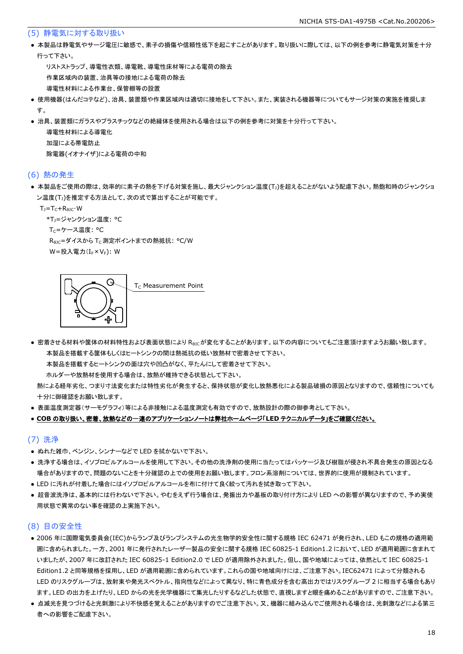#### (5) 静電気に対する取り扱い

● 本製品は静電気やサージ電圧に敏感で、素子の損傷や信頼性低下を起こすことがあります。取り扱いに際しては、以下の例を参考に静電気対策を十分 行って下さい。

 リストストラップ、導電性衣類、導電靴、導電性床材等による電荷の除去 作業区域内の装置、治具等の接地による電荷の除去 導電性材料による作業台、保管棚等の設置

- 使用機器(はんだコテなど)、治具、装置類や作業区域内は適切に接地をして下さい。また、実装される機器等についてもサージ対策の実施を推奨しま す。
- 治具、装置類にガラスやプラスチックなどの絶縁体を使用される場合は以下の例を参考に対策を十分行って下さい。

 導電性材料による導電化 加湿による帯電防止 除電器(イオナイザ)による電荷の中和

#### (6) 熱の発生

● 本製品をご使用の際は、効率的に素子の熱を下げる対策を施し、最大ジャンクション温度(T」)を超えることがないよう配慮下さい。熱飽和時のジャンクショ ン温度(T」)を推定する方法として、次の式で算出することが可能です。

 $T_1 = T_C + R_{B1C} \cdot W$ 

\*T1=ジャンクション温度: °C

Tc=ケース温度: °C

R<sub>0JC</sub>=ダイスから T<sub>C</sub> 測定ポイントまでの熱抵抗: °C/W W=投入電力(I<sub>F</sub>×V<sub>F</sub>): W

G T<sub>c</sub> Measurement Point

● 密着させる材料や筐体の材料特性および表面状態により Reicが変化することがあります。以下の内容についてもご注意頂けますようお願い致します。 本製品を搭載する筐体もしくはヒートシンクの間は熱抵抗の低い放熱材で密着させて下さい。

本製品を搭載するヒートシンクの面は穴や凹凸がなく、平たんにして密着させて下さい。

ホルダーや放熱材を使用する場合は、放熱が維持できる状態として下さい。

 熱による経年劣化、つまり寸法変化または特性劣化が発生すると、保持状態が変化し放熱悪化による製品破損の原因となりますので、信頼性についても 十分に御確認をお願い致します。

● 表面温度測定器(サーモグラフィ)等による非接触による温度測定も有効ですので、放熱設計の際の御参考として下さい。

#### ● **COB** の取り扱い、密着、放熱などの一連のアプリケーションノートは弊社ホームページ「**LED** テクニカルデータ」をご確認ください。

#### (7) 洗浄

- ぬれた雑巾、ベンジン、シンナーなどで LED を拭かないで下さい。
- 洗浄する場合は、イソプロピルアルコールを使用して下さい。その他の洗浄剤の使用に当たってはパッケージ及び樹脂が侵され不具合発生の原因となる 場合がありますので、問題のないことを十分確認の上での使用をお願い致します。フロン系溶剤については、世界的に使用が規制されています。
- LED に汚れが付着した場合にはイソプロピルアルコールを布に付けて良く絞って汚れを拭き取って下さい。
- 超音波洗浄は、基本的には行わないで下さい。やむをえず行う場合は、発振出力や基板の取り付け方により LED への影響が異なりますので、予め実使 用状態で異常のない事を確認の上実施下さい。

#### (8) 目の安全性

- 2006 年に国際電気委員会(IEC)からランプ及びランプシステムの光生物学的安全性に関する規格 IEC 62471 が発行され、LED もこの規格の適用範 囲に含められました。一方、2001 年に発行されたレーザー製品の安全に関する規格 IEC 60825-1 Edition1.2 において、LED が適用範囲に含まれて いましたが、2007 年に改訂された IEC 60825-1 Edition2.0 で LED が適用除外されました。但し、国や地域によっては、依然として IEC 60825-1 Edition1.2 と同等規格を採用し、LED が適用範囲に含められています。これらの国や地域向けには、ご注意下さい。IEC62471 によって分類される LED のリスクグループは、放射束や発光スペクトル、指向性などによって異なり、特に青色成分を含む高出力ではリスクグループ 2 に相当する場合もあり ます。LED の出力を上げたり、LED からの光を光学機器にて集光したりするなどした状態で、直視しますと眼を痛めることがありますので、ご注意下さい。
- 点滅光を見つづけると光刺激により不快感を覚えることがありますのでご注意下さい。又、機器に組み込んでご使用される場合は、光刺激などによる第三 者への影響をご配慮下さい。